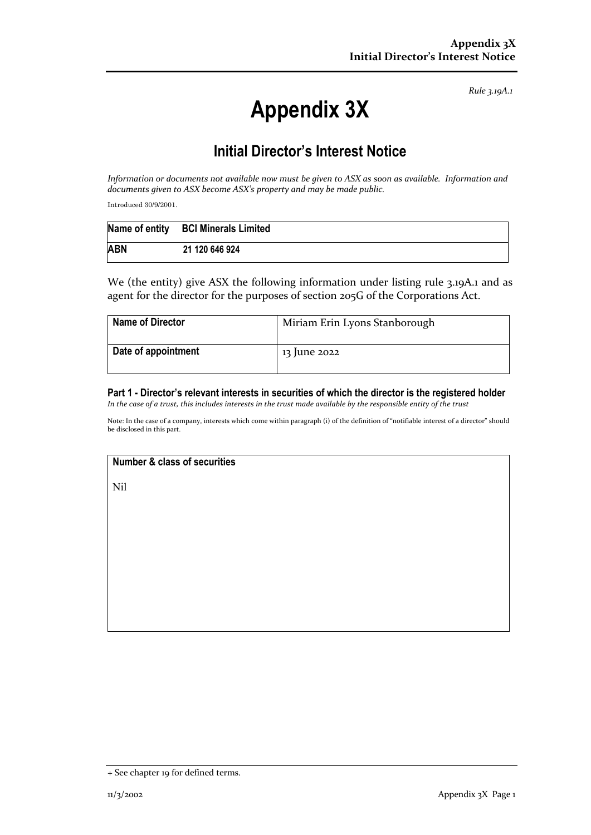*Rule 3.19A.1*

# **Appendix 3X**

## **Initial Director's Interest Notice**

*Information* or documents not available now must be given to ASX as soon as available. Information and documents given to ASX become ASX's property and may be made public.

Introduced 30/9/2001.

|            | Name of entity BCI Minerals Limited |
|------------|-------------------------------------|
| <b>ABN</b> | 21 120 646 924                      |

We (the entity) give ASX the following information under listing rule 3.19A.1 and as agent for the director for the purposes of section 205G of the Corporations Act.

| <b>Name of Director</b> | Miriam Erin Lyons Stanborough |
|-------------------------|-------------------------------|
| Date of appointment     | 13 June 2022                  |

### **Part 1 - Director's relevant interests in securities of which the director is the registered holder**

In the case of a trust, this includes interests in the trust made available by the responsible entity of the trust

Note: In the case of a company, interests which come within paragraph (i) of the definition of "notifiable interest of a director" should be disclosed in this part.

#### **Number & class of securities**

Nil

<sup>+</sup> See chapter 19 for defined terms.